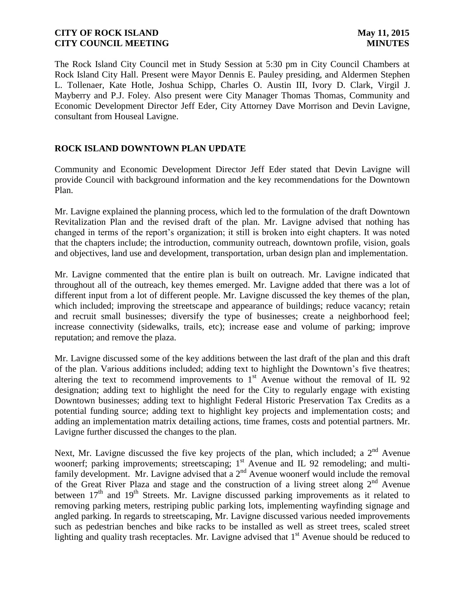The Rock Island City Council met in Study Session at 5:30 pm in City Council Chambers at Rock Island City Hall. Present were Mayor Dennis E. Pauley presiding, and Aldermen Stephen L. Tollenaer, Kate Hotle, Joshua Schipp, Charles O. Austin III, Ivory D. Clark, Virgil J. Mayberry and P.J. Foley. Also present were City Manager Thomas Thomas, Community and Economic Development Director Jeff Eder, City Attorney Dave Morrison and Devin Lavigne, consultant from Houseal Lavigne.

# **ROCK ISLAND DOWNTOWN PLAN UPDATE**

Community and Economic Development Director Jeff Eder stated that Devin Lavigne will provide Council with background information and the key recommendations for the Downtown Plan.

Mr. Lavigne explained the planning process, which led to the formulation of the draft Downtown Revitalization Plan and the revised draft of the plan. Mr. Lavigne advised that nothing has changed in terms of the report's organization; it still is broken into eight chapters. It was noted that the chapters include; the introduction, community outreach, downtown profile, vision, goals and objectives, land use and development, transportation, urban design plan and implementation.

Mr. Lavigne commented that the entire plan is built on outreach. Mr. Lavigne indicated that throughout all of the outreach, key themes emerged. Mr. Lavigne added that there was a lot of different input from a lot of different people. Mr. Lavigne discussed the key themes of the plan, which included; improving the streetscape and appearance of buildings; reduce vacancy; retain and recruit small businesses; diversify the type of businesses; create a neighborhood feel; increase connectivity (sidewalks, trails, etc); increase ease and volume of parking; improve reputation; and remove the plaza.

Mr. Lavigne discussed some of the key additions between the last draft of the plan and this draft of the plan. Various additions included; adding text to highlight the Downtown's five theatres; altering the text to recommend improvements to  $1<sup>st</sup>$  Avenue without the removal of IL 92 designation; adding text to highlight the need for the City to regularly engage with existing Downtown businesses; adding text to highlight Federal Historic Preservation Tax Credits as a potential funding source; adding text to highlight key projects and implementation costs; and adding an implementation matrix detailing actions, time frames, costs and potential partners. Mr. Lavigne further discussed the changes to the plan.

Next, Mr. Lavigne discussed the five key projects of the plan, which included; a  $2<sup>nd</sup>$  Avenue woonerf; parking improvements; streetscaping; 1<sup>st</sup> Avenue and IL 92 remodeling; and multifamily development. Mr. Lavigne advised that a 2<sup>nd</sup> Avenue woonerf would include the removal of the Great River Plaza and stage and the construction of a living street along  $2<sup>nd</sup>$  Avenue between  $17<sup>th</sup>$  and  $19<sup>th</sup>$  Streets. Mr. Lavigne discussed parking improvements as it related to removing parking meters, restriping public parking lots, implementing wayfinding signage and angled parking. In regards to streetscaping, Mr. Lavigne discussed various needed improvements such as pedestrian benches and bike racks to be installed as well as street trees, scaled street lighting and quality trash receptacles. Mr. Lavigne advised that  $1<sup>st</sup>$  Avenue should be reduced to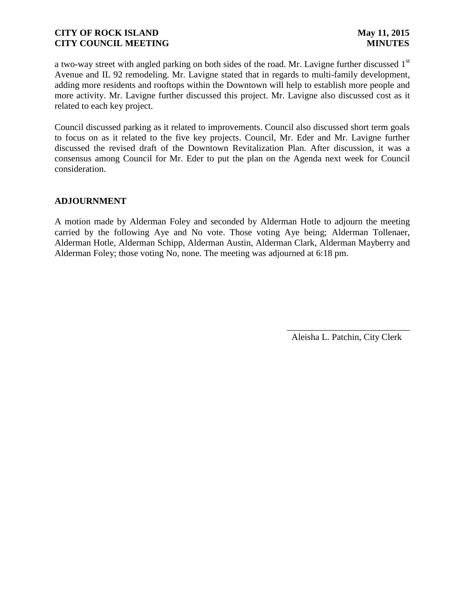a two-way street with angled parking on both sides of the road. Mr. Lavigne further discussed 1<sup>st</sup> Avenue and IL 92 remodeling. Mr. Lavigne stated that in regards to multi-family development, adding more residents and rooftops within the Downtown will help to establish more people and more activity. Mr. Lavigne further discussed this project. Mr. Lavigne also discussed cost as it related to each key project.

Council discussed parking as it related to improvements. Council also discussed short term goals to focus on as it related to the five key projects. Council, Mr. Eder and Mr. Lavigne further discussed the revised draft of the Downtown Revitalization Plan. After discussion, it was a consensus among Council for Mr. Eder to put the plan on the Agenda next week for Council consideration.

### **ADJOURNMENT**

A motion made by Alderman Foley and seconded by Alderman Hotle to adjourn the meeting carried by the following Aye and No vote. Those voting Aye being; Alderman Tollenaer, Alderman Hotle, Alderman Schipp, Alderman Austin, Alderman Clark, Alderman Mayberry and Alderman Foley; those voting No, none. The meeting was adjourned at 6:18 pm.

Aleisha L. Patchin, City Clerk

 $\frac{1}{2}$  ,  $\frac{1}{2}$  ,  $\frac{1}{2}$  ,  $\frac{1}{2}$  ,  $\frac{1}{2}$  ,  $\frac{1}{2}$  ,  $\frac{1}{2}$  ,  $\frac{1}{2}$  ,  $\frac{1}{2}$  ,  $\frac{1}{2}$  ,  $\frac{1}{2}$  ,  $\frac{1}{2}$  ,  $\frac{1}{2}$  ,  $\frac{1}{2}$  ,  $\frac{1}{2}$  ,  $\frac{1}{2}$  ,  $\frac{1}{2}$  ,  $\frac{1}{2}$  ,  $\frac{1$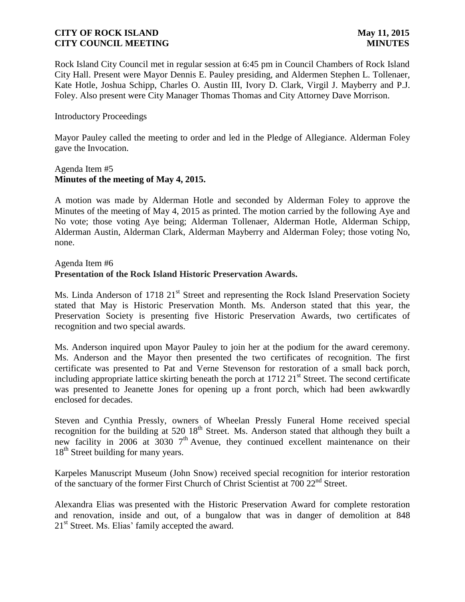Rock Island City Council met in regular session at 6:45 pm in Council Chambers of Rock Island City Hall. Present were Mayor Dennis E. Pauley presiding, and Aldermen Stephen L. Tollenaer, Kate Hotle, Joshua Schipp, Charles O. Austin III, Ivory D. Clark, Virgil J. Mayberry and P.J. Foley. Also present were City Manager Thomas Thomas and City Attorney Dave Morrison.

#### Introductory Proceedings

Mayor Pauley called the meeting to order and led in the Pledge of Allegiance. Alderman Foley gave the Invocation.

#### Agenda Item #5 **Minutes of the meeting of May 4, 2015.**

A motion was made by Alderman Hotle and seconded by Alderman Foley to approve the Minutes of the meeting of May 4, 2015 as printed. The motion carried by the following Aye and No vote; those voting Aye being; Alderman Tollenaer, Alderman Hotle, Alderman Schipp, Alderman Austin, Alderman Clark, Alderman Mayberry and Alderman Foley; those voting No, none.

Agenda Item #6

# **Presentation of the Rock Island Historic Preservation Awards.**

Ms. Linda Anderson of 1718 21<sup>st</sup> Street and representing the Rock Island Preservation Society stated that May is Historic Preservation Month. Ms. Anderson stated that this year, the Preservation Society is presenting five Historic Preservation Awards, two certificates of recognition and two special awards.

Ms. Anderson inquired upon Mayor Pauley to join her at the podium for the award ceremony. Ms. Anderson and the Mayor then presented the two certificates of recognition. The first certificate was presented to Pat and Verne Stevenson for restoration of a small back porch, including appropriate lattice skirting beneath the porch at  $1712 \ 21<sup>st</sup>$  Street. The second certificate was presented to Jeanette Jones for opening up a front porch, which had been awkwardly enclosed for decades.

Steven and Cynthia Pressly, owners of Wheelan Pressly Funeral Home received special recognition for the building at 520 18<sup>th</sup> Street. Ms. Anderson stated that although they built a new facility in 2006 at  $3030$  7<sup>th</sup> Avenue, they continued excellent maintenance on their 18<sup>th</sup> Street building for many years.

Karpeles Manuscript Museum (John Snow) received special recognition for interior restoration of the sanctuary of the former First Church of Christ Scientist at 700 22nd Street.

Alexandra Elias was presented with the Historic Preservation Award for complete restoration and renovation, inside and out, of a bungalow that was in danger of demolition at 848  $21<sup>st</sup>$  Street. Ms. Elias' family accepted the award.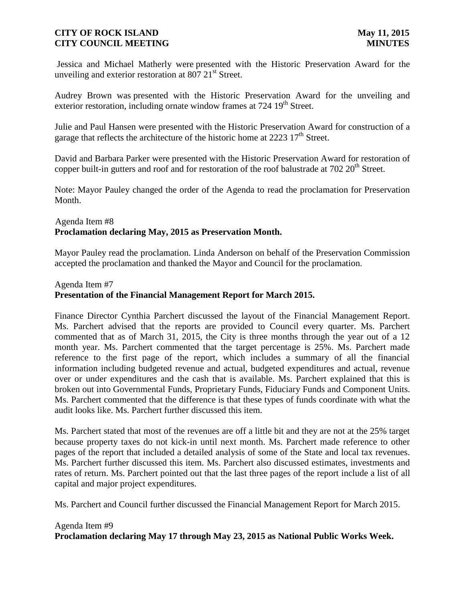Jessica and Michael Matherly were presented with the Historic Preservation Award for the unveiling and exterior restoration at 807  $21<sup>st</sup>$  Street.

Audrey Brown was presented with the Historic Preservation Award for the unveiling and exterior restoration, including ornate window frames at 724 19<sup>th</sup> Street.

Julie and Paul Hansen were presented with the Historic Preservation Award for construction of a garage that reflects the architecture of the historic home at  $2223 \cdot 17<sup>th</sup>$  Street.

David and Barbara Parker were presented with the Historic Preservation Award for restoration of copper built-in gutters and roof and for restoration of the roof balustrade at 702 20<sup>th</sup> Street.

Note: Mayor Pauley changed the order of the Agenda to read the proclamation for Preservation Month.

# Agenda Item #8 **Proclamation declaring May, 2015 as Preservation Month.**

Mayor Pauley read the proclamation. Linda Anderson on behalf of the Preservation Commission accepted the proclamation and thanked the Mayor and Council for the proclamation.

### Agenda Item #7

# **Presentation of the Financial Management Report for March 2015.**

Finance Director Cynthia Parchert discussed the layout of the Financial Management Report. Ms. Parchert advised that the reports are provided to Council every quarter. Ms. Parchert commented that as of March 31, 2015, the City is three months through the year out of a 12 month year. Ms. Parchert commented that the target percentage is 25%. Ms. Parchert made reference to the first page of the report, which includes a summary of all the financial information including budgeted revenue and actual, budgeted expenditures and actual, revenue over or under expenditures and the cash that is available. Ms. Parchert explained that this is broken out into Governmental Funds, Proprietary Funds, Fiduciary Funds and Component Units. Ms. Parchert commented that the difference is that these types of funds coordinate with what the audit looks like. Ms. Parchert further discussed this item.

Ms. Parchert stated that most of the revenues are off a little bit and they are not at the 25% target because property taxes do not kick-in until next month. Ms. Parchert made reference to other pages of the report that included a detailed analysis of some of the State and local tax revenues. Ms. Parchert further discussed this item. Ms. Parchert also discussed estimates, investments and rates of return. Ms. Parchert pointed out that the last three pages of the report include a list of all capital and major project expenditures.

Ms. Parchert and Council further discussed the Financial Management Report for March 2015.

# Agenda Item #9 **Proclamation declaring May 17 through May 23, 2015 as National Public Works Week.**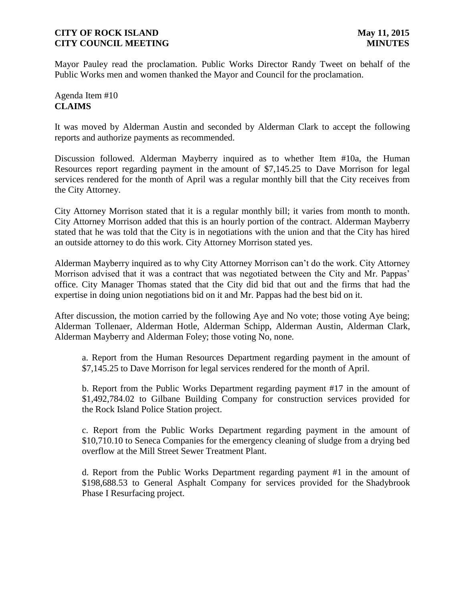Mayor Pauley read the proclamation. Public Works Director Randy Tweet on behalf of the Public Works men and women thanked the Mayor and Council for the proclamation.

# Agenda Item #10 **CLAIMS**

It was moved by Alderman Austin and seconded by Alderman Clark to accept the following reports and authorize payments as recommended.

Discussion followed. Alderman Mayberry inquired as to whether Item #10a, the Human Resources report regarding payment in the amount of \$7,145.25 to Dave Morrison for legal services rendered for the month of April was a regular monthly bill that the City receives from the City Attorney.

City Attorney Morrison stated that it is a regular monthly bill; it varies from month to month. City Attorney Morrison added that this is an hourly portion of the contract. Alderman Mayberry stated that he was told that the City is in negotiations with the union and that the City has hired an outside attorney to do this work. City Attorney Morrison stated yes.

Alderman Mayberry inquired as to why City Attorney Morrison can't do the work. City Attorney Morrison advised that it was a contract that was negotiated between the City and Mr. Pappas' office. City Manager Thomas stated that the City did bid that out and the firms that had the expertise in doing union negotiations bid on it and Mr. Pappas had the best bid on it.

After discussion, the motion carried by the following Aye and No vote; those voting Aye being; Alderman Tollenaer, Alderman Hotle, Alderman Schipp, Alderman Austin, Alderman Clark, Alderman Mayberry and Alderman Foley; those voting No, none.

a. Report from the Human Resources Department regarding payment in the amount of \$7,145.25 to Dave Morrison for legal services rendered for the month of April.

b. Report from the Public Works Department regarding payment #17 in the amount of \$1,492,784.02 to Gilbane Building Company for construction services provided for the Rock Island Police Station project.

c. Report from the Public Works Department regarding payment in the amount of \$10,710.10 to Seneca Companies for the emergency cleaning of sludge from a drying bed overflow at the Mill Street Sewer Treatment Plant.

d. Report from the Public Works Department regarding payment #1 in the amount of \$198,688.53 to General Asphalt Company for services provided for the Shadybrook Phase I Resurfacing project.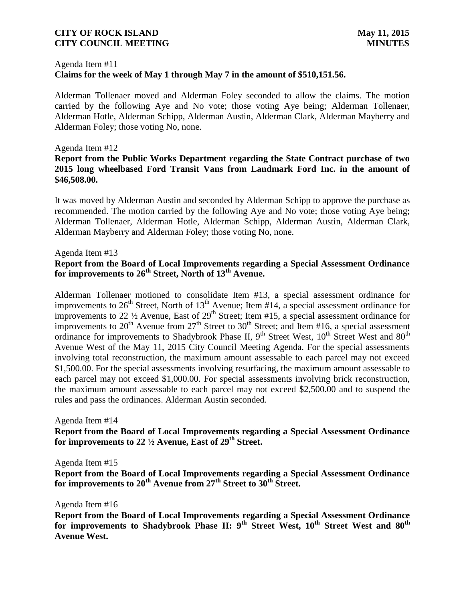# Agenda Item #11 **Claims for the week of May 1 through May 7 in the amount of \$510,151.56.**

Alderman Tollenaer moved and Alderman Foley seconded to allow the claims. The motion carried by the following Aye and No vote; those voting Aye being; Alderman Tollenaer, Alderman Hotle, Alderman Schipp, Alderman Austin, Alderman Clark, Alderman Mayberry and Alderman Foley; those voting No, none.

#### Agenda Item #12

# **Report from the Public Works Department regarding the State Contract purchase of two 2015 long wheelbased Ford Transit Vans from Landmark Ford Inc. in the amount of \$46,508.00.**

It was moved by Alderman Austin and seconded by Alderman Schipp to approve the purchase as recommended. The motion carried by the following Aye and No vote; those voting Aye being; Alderman Tollenaer, Alderman Hotle, Alderman Schipp, Alderman Austin, Alderman Clark, Alderman Mayberry and Alderman Foley; those voting No, none.

#### Agenda Item #13

### **Report from the Board of Local Improvements regarding a Special Assessment Ordinance for improvements to 26th Street, North of 13th Avenue.**

Alderman Tollenaer motioned to consolidate Item #13, a special assessment ordinance for improvements to  $26<sup>th</sup>$  Street, North of  $13<sup>th</sup>$  Avenue; Item #14, a special assessment ordinance for improvements to 22 <sup>1</sup>/<sub>2</sub> Avenue, East of 29<sup>th</sup> Street; Item #15, a special assessment ordinance for improvements to  $22^{t}$ . A created,  $25^{t}$  Street to  $30^{th}$  Street; and Item #16, a special assessment ordinance for improvements to Shadybrook Phase II,  $9<sup>th</sup>$  Street West,  $10<sup>th</sup>$  Street West and  $80<sup>th</sup>$ Avenue West of the May 11, 2015 City Council Meeting Agenda. For the special assessments involving total reconstruction, the maximum amount assessable to each parcel may not exceed \$1,500.00. For the special assessments involving resurfacing, the maximum amount assessable to each parcel may not exceed \$1,000.00. For special assessments involving brick reconstruction, the maximum amount assessable to each parcel may not exceed \$2,500.00 and to suspend the rules and pass the ordinances. Alderman Austin seconded.

#### Agenda Item #14

**Report from the Board of Local Improvements regarding a Special Assessment Ordinance for improvements to 22 ½ Avenue, East of 29th Street.**

Agenda Item #15

**Report from the Board of Local Improvements regarding a Special Assessment Ordinance for improvements to 20th Avenue from 27th Street to 30th Street.**

#### Agenda Item #16

**Report from the Board of Local Improvements regarding a Special Assessment Ordinance for improvements to Shadybrook Phase II: 9th Street West, 10th Street West and 80th Avenue West.**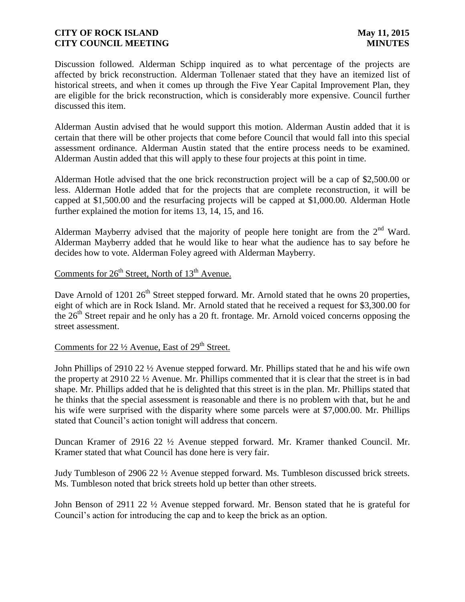Discussion followed. Alderman Schipp inquired as to what percentage of the projects are affected by brick reconstruction. Alderman Tollenaer stated that they have an itemized list of historical streets, and when it comes up through the Five Year Capital Improvement Plan, they are eligible for the brick reconstruction, which is considerably more expensive. Council further discussed this item.

Alderman Austin advised that he would support this motion. Alderman Austin added that it is certain that there will be other projects that come before Council that would fall into this special assessment ordinance. Alderman Austin stated that the entire process needs to be examined. Alderman Austin added that this will apply to these four projects at this point in time.

Alderman Hotle advised that the one brick reconstruction project will be a cap of \$2,500.00 or less. Alderman Hotle added that for the projects that are complete reconstruction, it will be capped at \$1,500.00 and the resurfacing projects will be capped at \$1,000.00. Alderman Hotle further explained the motion for items 13, 14, 15, and 16.

Alderman Mayberry advised that the majority of people here tonight are from the  $2<sup>nd</sup>$  Ward. Alderman Mayberry added that he would like to hear what the audience has to say before he decides how to vote. Alderman Foley agreed with Alderman Mayberry.

# Comments for  $26<sup>th</sup>$  Street, North of  $13<sup>th</sup>$  Avenue.

Dave Arnold of 1201 26<sup>th</sup> Street stepped forward. Mr. Arnold stated that he owns 20 properties, eight of which are in Rock Island. Mr. Arnold stated that he received a request for \$3,300.00 for the  $26<sup>th</sup>$  Street repair and he only has a 20 ft. frontage. Mr. Arnold voiced concerns opposing the street assessment.

# Comments for 22  $\frac{1}{2}$  Avenue, East of 29<sup>th</sup> Street.

John Phillips of 2910 22 ½ Avenue stepped forward. Mr. Phillips stated that he and his wife own the property at 2910 22 ½ Avenue. Mr. Phillips commented that it is clear that the street is in bad shape. Mr. Phillips added that he is delighted that this street is in the plan. Mr. Phillips stated that he thinks that the special assessment is reasonable and there is no problem with that, but he and his wife were surprised with the disparity where some parcels were at \$7,000.00. Mr. Phillips stated that Council's action tonight will address that concern.

Duncan Kramer of 2916 22 ½ Avenue stepped forward. Mr. Kramer thanked Council. Mr. Kramer stated that what Council has done here is very fair.

Judy Tumbleson of 2906 22 ½ Avenue stepped forward. Ms. Tumbleson discussed brick streets. Ms. Tumbleson noted that brick streets hold up better than other streets.

John Benson of 2911 22 ½ Avenue stepped forward. Mr. Benson stated that he is grateful for Council's action for introducing the cap and to keep the brick as an option.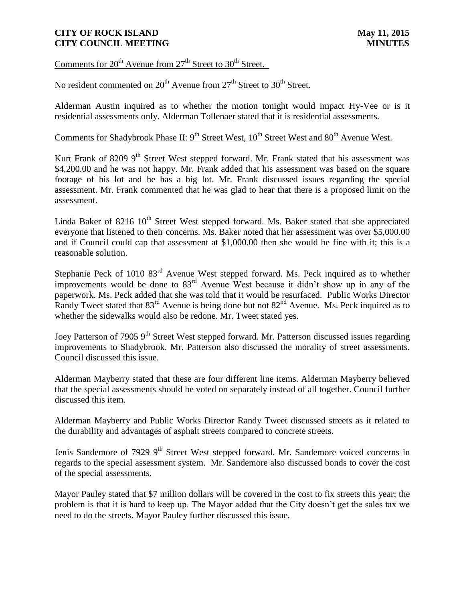Comments for  $20^{th}$  Avenue from  $27^{th}$  Street to  $30^{th}$  Street.

No resident commented on  $20^{th}$  Avenue from  $27^{th}$  Street to  $30^{th}$  Street.

Alderman Austin inquired as to whether the motion tonight would impact Hy-Vee or is it residential assessments only. Alderman Tollenaer stated that it is residential assessments.

# Comments for Shadybrook Phase II: 9<sup>th</sup> Street West, 10<sup>th</sup> Street West and 80<sup>th</sup> Avenue West.

Kurt Frank of 8209 9<sup>th</sup> Street West stepped forward. Mr. Frank stated that his assessment was \$4,200.00 and he was not happy. Mr. Frank added that his assessment was based on the square footage of his lot and he has a big lot. Mr. Frank discussed issues regarding the special assessment. Mr. Frank commented that he was glad to hear that there is a proposed limit on the assessment.

Linda Baker of 8216  $10<sup>th</sup>$  Street West stepped forward. Ms. Baker stated that she appreciated everyone that listened to their concerns. Ms. Baker noted that her assessment was over \$5,000.00 and if Council could cap that assessment at \$1,000.00 then she would be fine with it; this is a reasonable solution.

Stephanie Peck of 1010 83rd Avenue West stepped forward. Ms. Peck inquired as to whether improvements would be done to  $83<sup>rd</sup>$  Avenue West because it didn't show up in any of the paperwork. Ms. Peck added that she was told that it would be resurfaced. Public Works Director Randy Tweet stated that  $83<sup>rd</sup>$  Avenue is being done but not  $82<sup>nd</sup>$  Avenue. Ms. Peck inquired as to whether the sidewalks would also be redone. Mr. Tweet stated yes.

Joey Patterson of 7905 9<sup>th</sup> Street West stepped forward. Mr. Patterson discussed issues regarding improvements to Shadybrook. Mr. Patterson also discussed the morality of street assessments. Council discussed this issue.

Alderman Mayberry stated that these are four different line items. Alderman Mayberry believed that the special assessments should be voted on separately instead of all together. Council further discussed this item.

Alderman Mayberry and Public Works Director Randy Tweet discussed streets as it related to the durability and advantages of asphalt streets compared to concrete streets.

Jenis Sandemore of 7929 9<sup>th</sup> Street West stepped forward. Mr. Sandemore voiced concerns in regards to the special assessment system. Mr. Sandemore also discussed bonds to cover the cost of the special assessments.

Mayor Pauley stated that \$7 million dollars will be covered in the cost to fix streets this year; the problem is that it is hard to keep up. The Mayor added that the City doesn't get the sales tax we need to do the streets. Mayor Pauley further discussed this issue.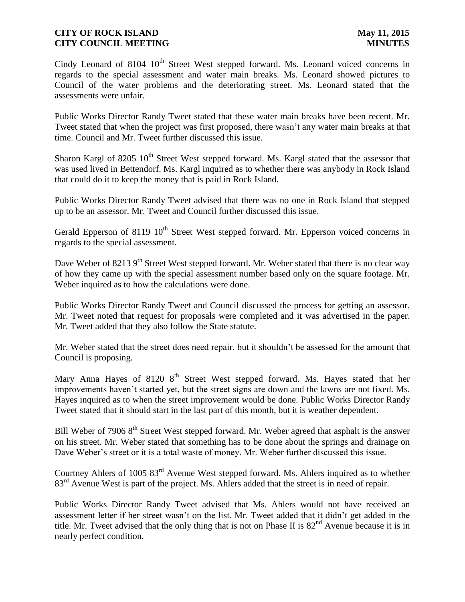Cindy Leonard of 8104  $10<sup>th</sup>$  Street West stepped forward. Ms. Leonard voiced concerns in regards to the special assessment and water main breaks. Ms. Leonard showed pictures to Council of the water problems and the deteriorating street. Ms. Leonard stated that the assessments were unfair.

Public Works Director Randy Tweet stated that these water main breaks have been recent. Mr. Tweet stated that when the project was first proposed, there wasn't any water main breaks at that time. Council and Mr. Tweet further discussed this issue.

Sharon Kargl of 8205 10<sup>th</sup> Street West stepped forward. Ms. Kargl stated that the assessor that was used lived in Bettendorf. Ms. Kargl inquired as to whether there was anybody in Rock Island that could do it to keep the money that is paid in Rock Island.

Public Works Director Randy Tweet advised that there was no one in Rock Island that stepped up to be an assessor. Mr. Tweet and Council further discussed this issue.

Gerald Epperson of 8119  $10<sup>th</sup>$  Street West stepped forward. Mr. Epperson voiced concerns in regards to the special assessment.

Dave Weber of 8213 9<sup>th</sup> Street West stepped forward. Mr. Weber stated that there is no clear way of how they came up with the special assessment number based only on the square footage. Mr. Weber inquired as to how the calculations were done.

Public Works Director Randy Tweet and Council discussed the process for getting an assessor. Mr. Tweet noted that request for proposals were completed and it was advertised in the paper. Mr. Tweet added that they also follow the State statute.

Mr. Weber stated that the street does need repair, but it shouldn't be assessed for the amount that Council is proposing.

Mary Anna Hayes of 8120 8<sup>th</sup> Street West stepped forward. Ms. Hayes stated that her improvements haven't started yet, but the street signs are down and the lawns are not fixed. Ms. Hayes inquired as to when the street improvement would be done. Public Works Director Randy Tweet stated that it should start in the last part of this month, but it is weather dependent.

Bill Weber of 7906 8<sup>th</sup> Street West stepped forward. Mr. Weber agreed that asphalt is the answer on his street. Mr. Weber stated that something has to be done about the springs and drainage on Dave Weber's street or it is a total waste of money. Mr. Weber further discussed this issue.

Courtney Ahlers of 1005 83rd Avenue West stepped forward. Ms. Ahlers inquired as to whether 83<sup>rd</sup> Avenue West is part of the project. Ms. Ahlers added that the street is in need of repair.

Public Works Director Randy Tweet advised that Ms. Ahlers would not have received an assessment letter if her street wasn't on the list. Mr. Tweet added that it didn't get added in the title. Mr. Tweet advised that the only thing that is not on Phase II is  $82<sup>nd</sup>$  Avenue because it is in nearly perfect condition.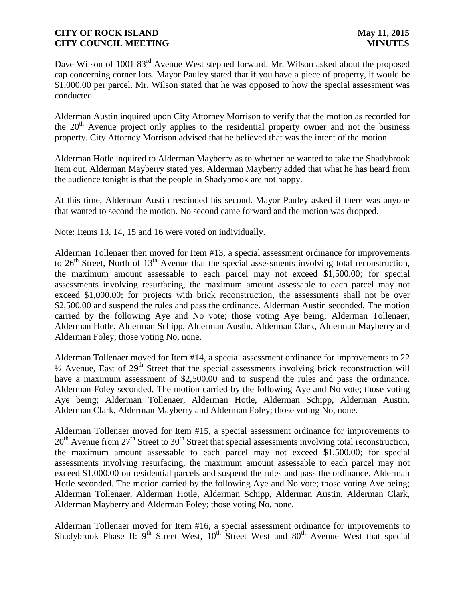Dave Wilson of 1001 83<sup>rd</sup> Avenue West stepped forward. Mr. Wilson asked about the proposed cap concerning corner lots. Mayor Pauley stated that if you have a piece of property, it would be \$1,000.00 per parcel. Mr. Wilson stated that he was opposed to how the special assessment was conducted.

Alderman Austin inquired upon City Attorney Morrison to verify that the motion as recorded for the  $20<sup>th</sup>$  Avenue project only applies to the residential property owner and not the business property. City Attorney Morrison advised that he believed that was the intent of the motion.

Alderman Hotle inquired to Alderman Mayberry as to whether he wanted to take the Shadybrook item out. Alderman Mayberry stated yes. Alderman Mayberry added that what he has heard from the audience tonight is that the people in Shadybrook are not happy.

At this time, Alderman Austin rescinded his second. Mayor Pauley asked if there was anyone that wanted to second the motion. No second came forward and the motion was dropped.

Note: Items 13, 14, 15 and 16 were voted on individually.

Alderman Tollenaer then moved for Item #13, a special assessment ordinance for improvements to  $26<sup>th</sup>$  Street, North of  $13<sup>th</sup>$  Avenue that the special assessments involving total reconstruction, the maximum amount assessable to each parcel may not exceed \$1,500.00; for special assessments involving resurfacing, the maximum amount assessable to each parcel may not exceed \$1,000.00; for projects with brick reconstruction, the assessments shall not be over \$2,500.00 and suspend the rules and pass the ordinance. Alderman Austin seconded. The motion carried by the following Aye and No vote; those voting Aye being; Alderman Tollenaer, Alderman Hotle, Alderman Schipp, Alderman Austin, Alderman Clark, Alderman Mayberry and Alderman Foley; those voting No, none.

Alderman Tollenaer moved for Item #14, a special assessment ordinance for improvements to 22  $\frac{1}{2}$  Avenue, East of 29<sup>th</sup> Street that the special assessments involving brick reconstruction will have a maximum assessment of \$2,500.00 and to suspend the rules and pass the ordinance. Alderman Foley seconded. The motion carried by the following Aye and No vote; those voting Aye being; Alderman Tollenaer, Alderman Hotle, Alderman Schipp, Alderman Austin, Alderman Clark, Alderman Mayberry and Alderman Foley; those voting No, none.

Alderman Tollenaer moved for Item #15, a special assessment ordinance for improvements to  $20<sup>th</sup>$  Avenue from  $27<sup>th</sup>$  Street to  $30<sup>th</sup>$  Street that special assessments involving total reconstruction, the maximum amount assessable to each parcel may not exceed \$1,500.00; for special assessments involving resurfacing, the maximum amount assessable to each parcel may not exceed \$1,000.00 on residential parcels and suspend the rules and pass the ordinance. Alderman Hotle seconded. The motion carried by the following Aye and No vote; those voting Aye being; Alderman Tollenaer, Alderman Hotle, Alderman Schipp, Alderman Austin, Alderman Clark, Alderman Mayberry and Alderman Foley; those voting No, none.

Alderman Tollenaer moved for Item #16, a special assessment ordinance for improvements to Shadybrook Phase II:  $9<sup>th</sup>$  Street West,  $10<sup>th</sup>$  Street West and  $80<sup>th</sup>$  Avenue West that special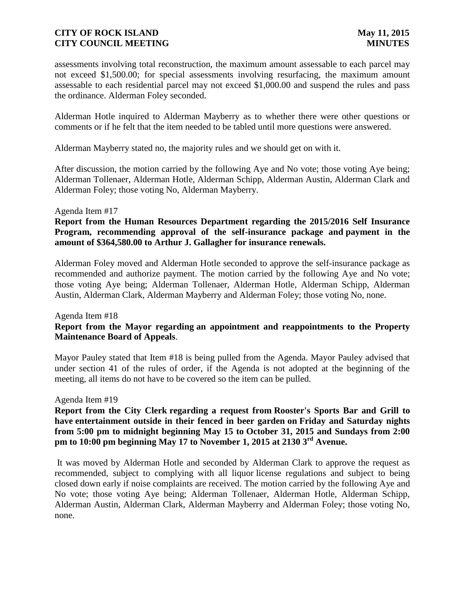assessments involving total reconstruction, the maximum amount assessable to each parcel may not exceed \$1,500.00; for special assessments involving resurfacing, the maximum amount assessable to each residential parcel may not exceed \$1,000.00 and suspend the rules and pass the ordinance. Alderman Foley seconded.

Alderman Hotle inquired to Alderman Mayberry as to whether there were other questions or comments or if he felt that the item needed to be tabled until more questions were answered.

Alderman Mayberry stated no, the majority rules and we should get on with it.

After discussion, the motion carried by the following Aye and No vote; those voting Aye being; Alderman Tollenaer, Alderman Hotle, Alderman Schipp, Alderman Austin, Alderman Clark and Alderman Foley; those voting No, Alderman Mayberry.

#### Agenda Item #17

**Report from the Human Resources Department regarding the 2015/2016 Self Insurance Program, recommending approval of the self-insurance package and payment in the amount of \$364,580.00 to Arthur J. Gallagher for insurance renewals.** 

Alderman Foley moved and Alderman Hotle seconded to approve the self-insurance package as recommended and authorize payment. The motion carried by the following Aye and No vote; those voting Aye being; Alderman Tollenaer, Alderman Hotle, Alderman Schipp, Alderman Austin, Alderman Clark, Alderman Mayberry and Alderman Foley; those voting No, none.

# Agenda Item #18 **Report from the Mayor regarding an appointment and reappointments to the Property Maintenance Board of Appeals**.

Mayor Pauley stated that Item #18 is being pulled from the Agenda. Mayor Pauley advised that under section 41 of the rules of order, if the Agenda is not adopted at the beginning of the meeting, all items do not have to be covered so the item can be pulled.

#### Agenda Item #19

**Report from the City Clerk regarding a request from Rooster's Sports Bar and Grill to have entertainment outside in their fenced in beer garden on Friday and Saturday nights from 5:00 pm to midnight beginning May 15 to October 31, 2015 and Sundays from 2:00 pm to 10:00 pm beginning May 17 to November 1, 2015 at 2130 3rd Avenue.**

It was moved by Alderman Hotle and seconded by Alderman Clark to approve the request as recommended, subject to complying with all liquor license regulations and subject to being closed down early if noise complaints are received. The motion carried by the following Aye and No vote; those voting Aye being; Alderman Tollenaer, Alderman Hotle, Alderman Schipp, Alderman Austin, Alderman Clark, Alderman Mayberry and Alderman Foley; those voting No, none.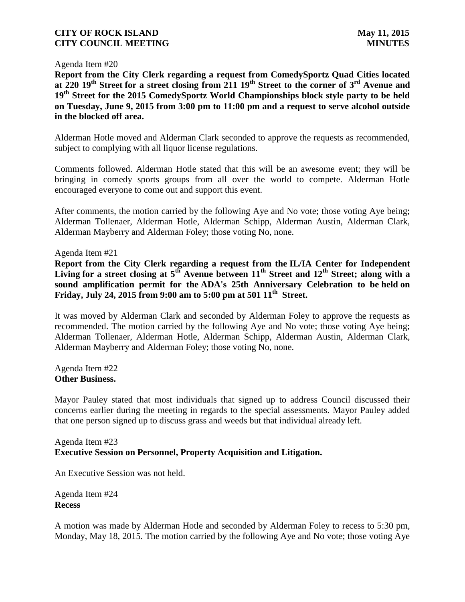Agenda Item #20

**Report from the City Clerk regarding a request from ComedySportz Quad Cities located at 220 19th Street for a street closing from 211 19th Street to the corner of 3rd Avenue and 19th Street for the 2015 ComedySportz World Championships block style party to be held on Tuesday, June 9, 2015 from 3:00 pm to 11:00 pm and a request to serve alcohol outside in the blocked off area.**

Alderman Hotle moved and Alderman Clark seconded to approve the requests as recommended, subject to complying with all liquor license regulations.

Comments followed. Alderman Hotle stated that this will be an awesome event; they will be bringing in comedy sports groups from all over the world to compete. Alderman Hotle encouraged everyone to come out and support this event.

After comments, the motion carried by the following Aye and No vote; those voting Aye being; Alderman Tollenaer, Alderman Hotle, Alderman Schipp, Alderman Austin, Alderman Clark, Alderman Mayberry and Alderman Foley; those voting No, none.

Agenda Item #21

**Report from the City Clerk regarding a request from the IL/IA Center for Independent Living for a street closing at 5th Avenue between 11th Street and 12th Street; along with a sound amplification permit for the ADA's 25th Anniversary Celebration to be held on Friday, July 24, 2015 from 9:00 am to 5:00 pm at 501 11th Street.**

It was moved by Alderman Clark and seconded by Alderman Foley to approve the requests as recommended. The motion carried by the following Aye and No vote; those voting Aye being; Alderman Tollenaer, Alderman Hotle, Alderman Schipp, Alderman Austin, Alderman Clark, Alderman Mayberry and Alderman Foley; those voting No, none.

Agenda Item #22 **Other Business.**

Mayor Pauley stated that most individuals that signed up to address Council discussed their concerns earlier during the meeting in regards to the special assessments. Mayor Pauley added that one person signed up to discuss grass and weeds but that individual already left.

# Agenda Item #23 **Executive Session on Personnel, Property Acquisition and Litigation.**

An Executive Session was not held.

Agenda Item #24 **Recess**

A motion was made by Alderman Hotle and seconded by Alderman Foley to recess to 5:30 pm, Monday, May 18, 2015. The motion carried by the following Aye and No vote; those voting Aye